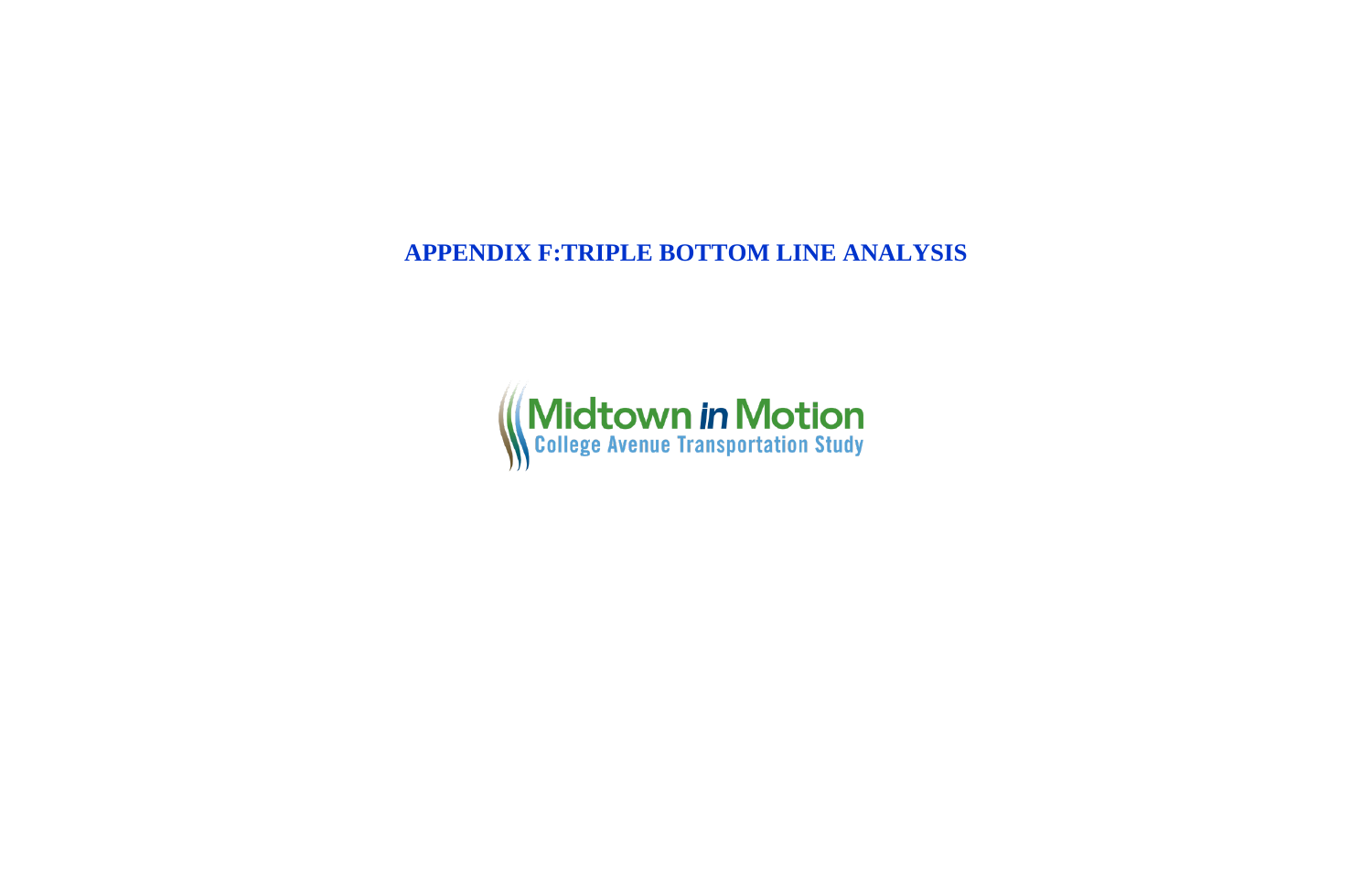**APPENDIX F:TRIPLE BOTTOM LINE ANALYSIS**

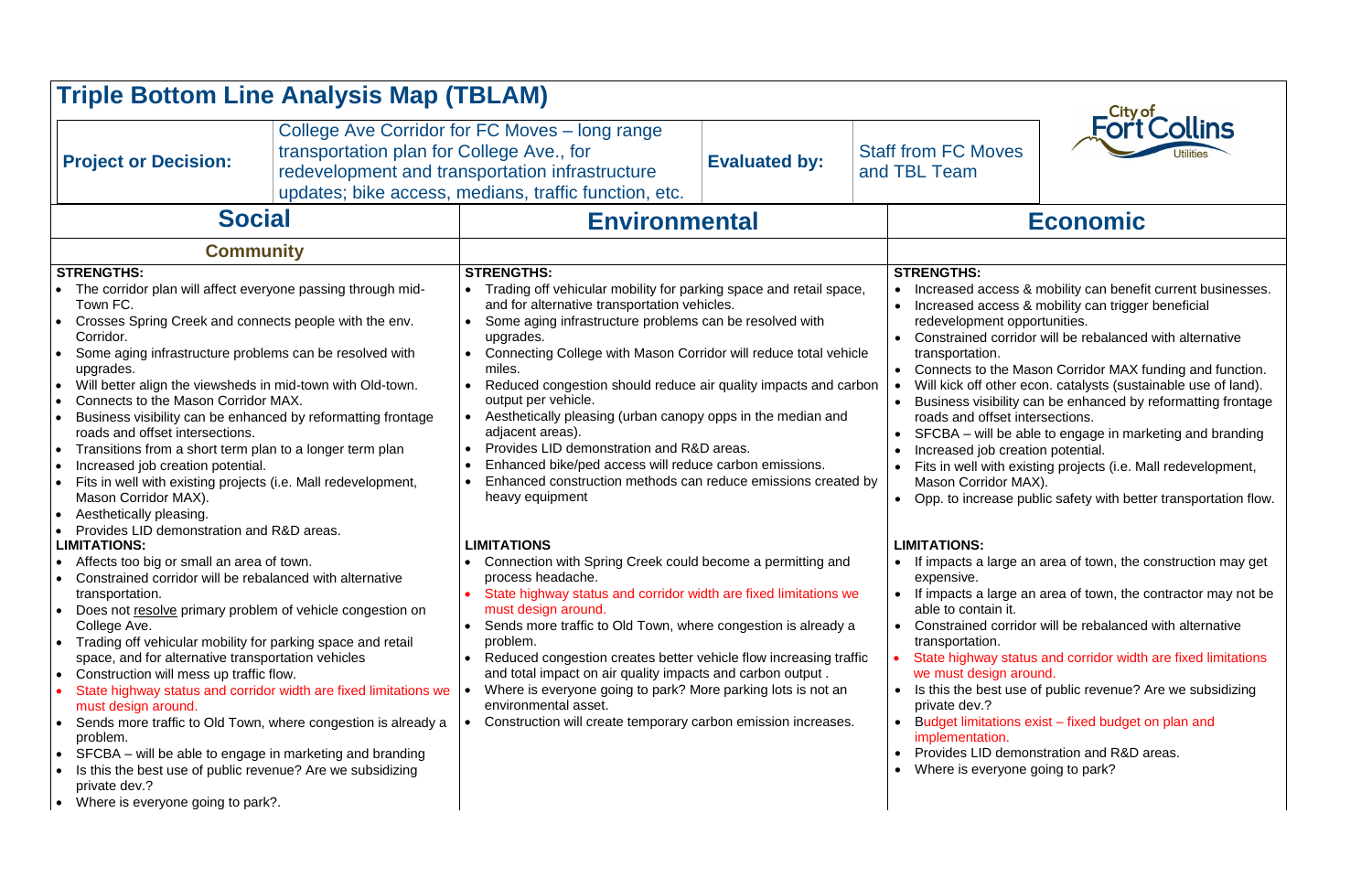| <b>Triple Bottom Line Analysis Map (TBLAM)</b>                                                                                                                                                                                                                                                                                                                                                                                                                                                                                                                                                                                                                                                                                                                                                                                             |                                                                                                                                   |                                                                                                                                                                                                                                                                                                                                                                                                                                                                                                                                                                                                                                                                       |                      |                                                                                                                                                                                                         |                                                                                                                                                                                                                                                                                                                                                                                                                                                                                                                                                                             |  |
|--------------------------------------------------------------------------------------------------------------------------------------------------------------------------------------------------------------------------------------------------------------------------------------------------------------------------------------------------------------------------------------------------------------------------------------------------------------------------------------------------------------------------------------------------------------------------------------------------------------------------------------------------------------------------------------------------------------------------------------------------------------------------------------------------------------------------------------------|-----------------------------------------------------------------------------------------------------------------------------------|-----------------------------------------------------------------------------------------------------------------------------------------------------------------------------------------------------------------------------------------------------------------------------------------------------------------------------------------------------------------------------------------------------------------------------------------------------------------------------------------------------------------------------------------------------------------------------------------------------------------------------------------------------------------------|----------------------|---------------------------------------------------------------------------------------------------------------------------------------------------------------------------------------------------------|-----------------------------------------------------------------------------------------------------------------------------------------------------------------------------------------------------------------------------------------------------------------------------------------------------------------------------------------------------------------------------------------------------------------------------------------------------------------------------------------------------------------------------------------------------------------------------|--|
| <b>Project or Decision:</b>                                                                                                                                                                                                                                                                                                                                                                                                                                                                                                                                                                                                                                                                                                                                                                                                                | transportation plan for College Ave., for                                                                                         | College Ave Corridor for FC Moves – long range<br>redevelopment and transportation infrastructure<br>updates; bike access, medians, traffic function, etc.                                                                                                                                                                                                                                                                                                                                                                                                                                                                                                            | <b>Evaluated by:</b> | <b>Staff from FC Moves</b><br>and TBL Team                                                                                                                                                              | Fort Collins                                                                                                                                                                                                                                                                                                                                                                                                                                                                                                                                                                |  |
| <b>Social</b>                                                                                                                                                                                                                                                                                                                                                                                                                                                                                                                                                                                                                                                                                                                                                                                                                              |                                                                                                                                   | <b>Environmental</b>                                                                                                                                                                                                                                                                                                                                                                                                                                                                                                                                                                                                                                                  |                      | <b>Economic</b>                                                                                                                                                                                         |                                                                                                                                                                                                                                                                                                                                                                                                                                                                                                                                                                             |  |
| <b>Community</b>                                                                                                                                                                                                                                                                                                                                                                                                                                                                                                                                                                                                                                                                                                                                                                                                                           |                                                                                                                                   |                                                                                                                                                                                                                                                                                                                                                                                                                                                                                                                                                                                                                                                                       |                      |                                                                                                                                                                                                         |                                                                                                                                                                                                                                                                                                                                                                                                                                                                                                                                                                             |  |
| <b>STRENGTHS:</b><br>The corridor plan will affect everyone passing through mid-<br>Town FC.<br>Crosses Spring Creek and connects people with the env.<br>$\bullet$<br>Corridor.<br>Some aging infrastructure problems can be resolved with<br>$\bullet$<br>upgrades.<br>Will better align the viewsheds in mid-town with Old-town.<br>$\bullet$<br>Connects to the Mason Corridor MAX.<br>$\bullet$<br>Business visibility can be enhanced by reformatting frontage<br>$\bullet$<br>roads and offset intersections.<br>Transitions from a short term plan to a longer term plan<br>$\bullet$<br>Increased job creation potential.<br>$\bullet$<br>Fits in well with existing projects (i.e. Mall redevelopment,<br>$\bullet$<br>Mason Corridor MAX).<br>Aesthetically pleasing.<br>$\bullet$<br>Provides LID demonstration and R&D areas. |                                                                                                                                   | <b>STRENGTHS:</b><br>Trading off vehicular mobility for parking space and retail space,<br>and for alternative transportation vehicles.<br>Some aging infrastructure problems can be resolved with<br>upgrades.<br>Connecting College with Mason Corridor will reduce total vehicle<br>miles.<br>Reduced congestion should reduce air quality impacts and carbon<br>output per vehicle.<br>Aesthetically pleasing (urban canopy opps in the median and<br>adjacent areas).<br>Provides LID demonstration and R&D areas.<br>Enhanced bike/ped access will reduce carbon emissions.<br>Enhanced construction methods can reduce emissions created by<br>heavy equipment |                      | <b>STRENGTHS:</b><br>redevelopment opportunities.<br>transportation.<br>roads and offset intersections.<br>Increased job creation potential.<br>Mason Corridor MAX).                                    | Increased access & mobility can benefit current businesses.<br>Increased access & mobility can trigger beneficial<br>Constrained corridor will be rebalanced with alternative<br>Connects to the Mason Corridor MAX funding and function.<br>Will kick off other econ. catalysts (sustainable use of land).<br>Business visibility can be enhanced by reformatting frontage<br>SFCBA – will be able to engage in marketing and branding<br>Fits in well with existing projects (i.e. Mall redevelopment,<br>Opp. to increase public safety with better transportation flow. |  |
| <b>LIMITATIONS:</b><br>• Affects too big or small an area of town.<br>Constrained corridor will be rebalanced with alternative<br>transportation.<br>Does not resolve primary problem of vehicle congestion on<br>$\bullet$<br>College Ave.<br>Trading off vehicular mobility for parking space and retail<br>$\bullet$<br>space, and for alternative transportation vehicles<br>Construction will mess up traffic flow.<br>$\bullet$<br>must design around.<br>$\bullet$<br>problem.<br>SFCBA – will be able to engage in marketing and branding<br>$\bullet$<br>Is this the best use of public revenue? Are we subsidizing<br>private dev.?<br>Where is everyone going to park?.<br>$\bullet$                                                                                                                                            | State highway status and corridor width are fixed limitations we<br>Sends more traffic to Old Town, where congestion is already a | <b>LIMITATIONS</b><br>Connection with Spring Creek could become a permitting and<br>process headache.<br>State highway status and corridor width are fixed limitations we<br>must design around.<br>Sends more traffic to Old Town, where congestion is already a<br>problem.<br>Reduced congestion creates better vehicle flow increasing traffic<br>and total impact on air quality impacts and carbon output.<br>Where is everyone going to park? More parking lots is not an<br>environmental asset.<br>Construction will create temporary carbon emission increases.                                                                                             |                      | <b>LIMITATIONS:</b><br>expensive.<br>$\bullet$<br>able to contain it.<br>transportation.<br>we must design around.<br>private dev.?<br>implementation.<br>Where is everyone going to park?<br>$\bullet$ | If impacts a large an area of town, the construction may get<br>If impacts a large an area of town, the contractor may not be<br>Constrained corridor will be rebalanced with alternative<br>State highway status and corridor width are fixed limitations<br>Is this the best use of public revenue? Are we subsidizing<br>Budget limitations exist – fixed budget on plan and<br>Provides LID demonstration and R&D areas.                                                                                                                                                |  |

- 
- 
- 
- 
- 
- 
- 
- 
- 
- 
- 
- 
-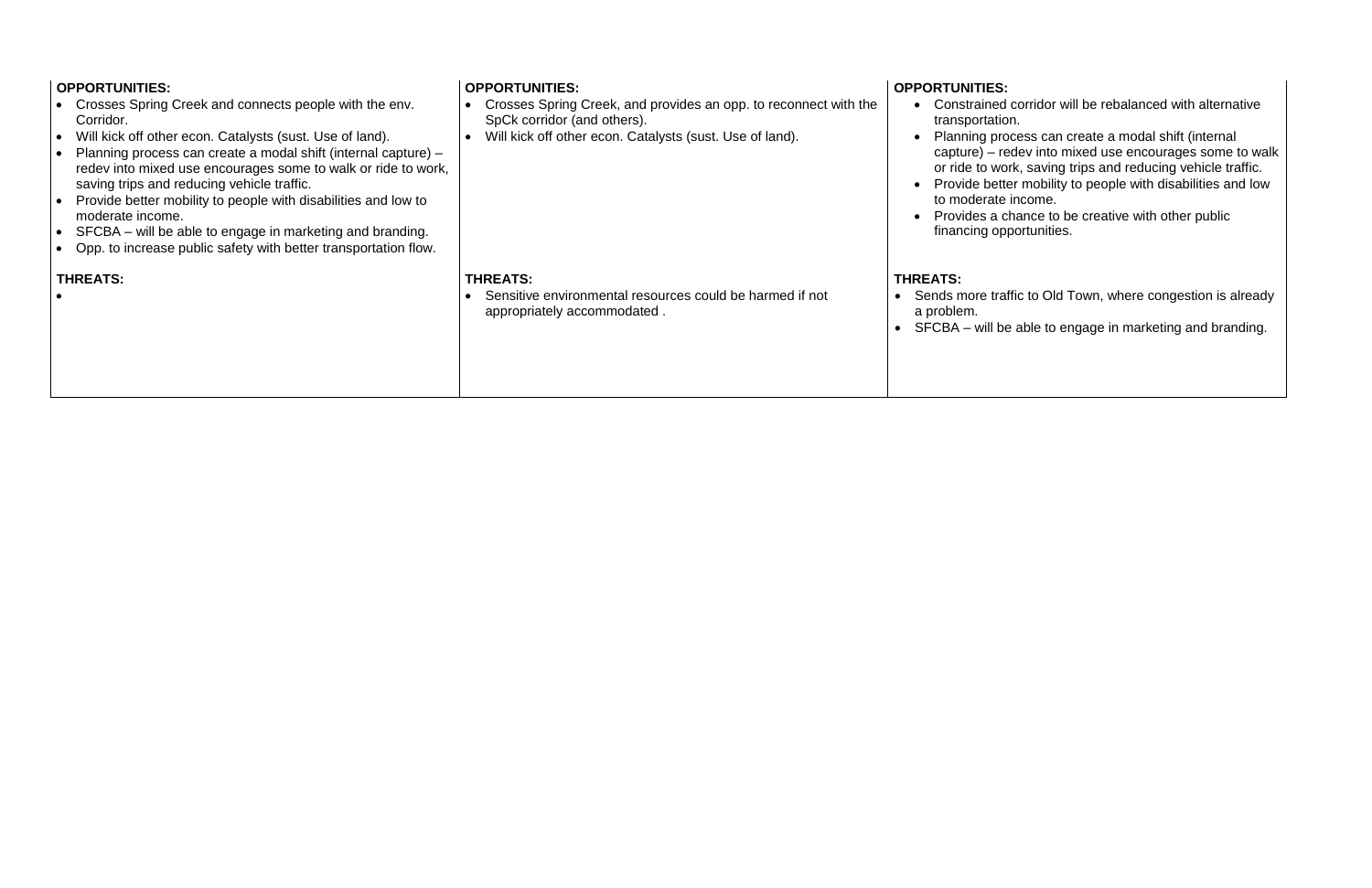| <b>OPPORTUNITIES:</b><br>Crosses Spring Creek and connects people with the env.<br>Corridor.<br>Will kick off other econ. Catalysts (sust. Use of land).<br>Planning process can create a modal shift (internal capture) -<br>redev into mixed use encourages some to walk or ride to work,<br>saving trips and reducing vehicle traffic.<br>Provide better mobility to people with disabilities and low to<br>moderate income.<br>SFCBA – will be able to engage in marketing and branding.<br>Opp. to increase public safety with better transportation flow. | <b>OPPORTUNITIES:</b><br>Crosses Spring Creek, and provides an opp. to reconnect with the<br>SpCk corridor (and others).<br>Will kick off other econ. Catalysts (sust. Use of land). | <b>OPPORTUNITIES:</b><br>Constrained<br>transportation<br>Planning pro<br>$capture$ ) – re<br>or ride to wor<br>Provide bette<br>to moderate<br>Provides a cl<br>financing opp |
|-----------------------------------------------------------------------------------------------------------------------------------------------------------------------------------------------------------------------------------------------------------------------------------------------------------------------------------------------------------------------------------------------------------------------------------------------------------------------------------------------------------------------------------------------------------------|--------------------------------------------------------------------------------------------------------------------------------------------------------------------------------------|--------------------------------------------------------------------------------------------------------------------------------------------------------------------------------|
| <b>THREATS:</b>                                                                                                                                                                                                                                                                                                                                                                                                                                                                                                                                                 | <b>THREATS:</b><br>Sensitive environmental resources could be harmed if not<br>appropriately accommodated.                                                                           | <b>THREATS:</b><br>Sends more traf<br>a problem.<br>$\bullet$ SFCBA – will be                                                                                                  |

corridor will be rebalanced with alternative n.

• Planning process can create a modal shift (internal capture) – redev into mixed use encourages some to walk or ride to work, saving trips and reducing vehicle traffic. • Provide better mobility to people with disabilities and low income.

hance to be creative with other public portunities.

ffic to Old Town, where congestion is already

 $\theta$  able to engage in marketing and branding.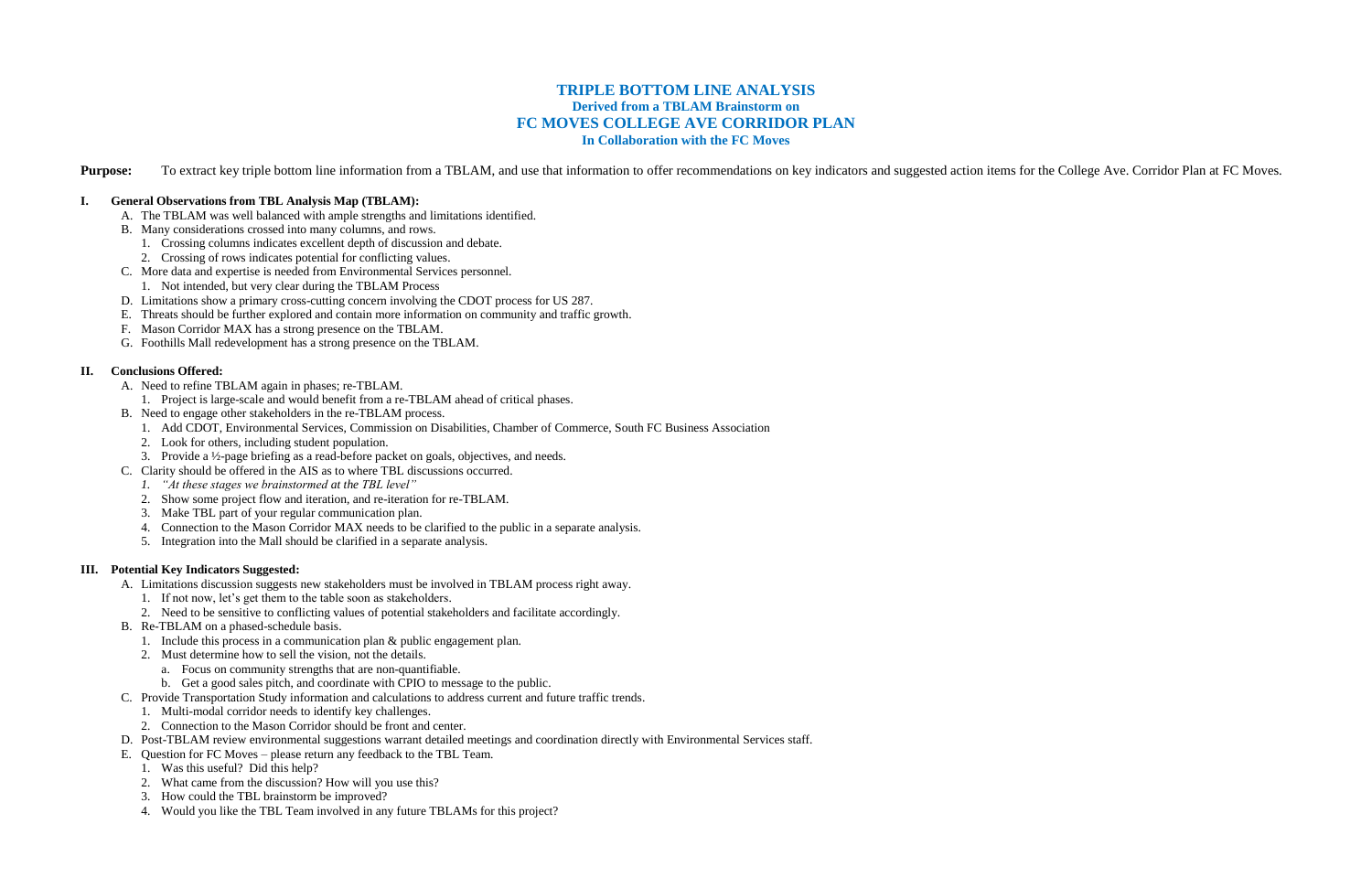# **TRIPLE BOTTOM LINE ANALYSIS Derived from a TBLAM Brainstorm on FC MOVES COLLEGE AVE CORRIDOR PLAN In Collaboration with the FC Moves**

Purpose: To extract key triple bottom line information from a TBLAM, and use that information to offer recommendations on key indicators and suggested action items for the College Ave. Corridor Plan at FC Moves.

## **I. General Observations from TBL Analysis Map (TBLAM):**

- A. The TBLAM was well balanced with ample strengths and limitations identified.
- B. Many considerations crossed into many columns, and rows.
	- 1. Crossing columns indicates excellent depth of discussion and debate.
	- 2. Crossing of rows indicates potential for conflicting values.
- C. More data and expertise is needed from Environmental Services personnel.
	- 1. Not intended, but very clear during the TBLAM Process
- D. Limitations show a primary cross-cutting concern involving the CDOT process for US 287.
- E. Threats should be further explored and contain more information on community and traffic growth.
- F. Mason Corridor MAX has a strong presence on the TBLAM.
- G. Foothills Mall redevelopment has a strong presence on the TBLAM.

## **II. Conclusions Offered:**

- A. Need to refine TBLAM again in phases; re-TBLAM.
	- 1. Project is large-scale and would benefit from a re-TBLAM ahead of critical phases.
- B. Need to engage other stakeholders in the re-TBLAM process.
	- 1. Add CDOT, Environmental Services, Commission on Disabilities, Chamber of Commerce, South FC Business Association
	- 2. Look for others, including student population.
	- 3. Provide a ½-page briefing as a read-before packet on goals, objectives, and needs.
- C. Clarity should be offered in the AIS as to where TBL discussions occurred.
	- *1. "At these stages we brainstormed at the TBL level"*
	- 2. Show some project flow and iteration, and re-iteration for re-TBLAM.
	- 3. Make TBL part of your regular communication plan.
	- 4. Connection to the Mason Corridor MAX needs to be clarified to the public in a separate analysis.
	- 5. Integration into the Mall should be clarified in a separate analysis.

## **III. Potential Key Indicators Suggested:**

- A. Limitations discussion suggests new stakeholders must be involved in TBLAM process right away.
	- 1. If not now, let's get them to the table soon as stakeholders.
	- 2. Need to be sensitive to conflicting values of potential stakeholders and facilitate accordingly.
- B. Re-TBLAM on a phased-schedule basis.
	- 1. Include this process in a communication plan & public engagement plan.
	- 2. Must determine how to sell the vision, not the details.
		- a. Focus on community strengths that are non-quantifiable.
		- b. Get a good sales pitch, and coordinate with CPIO to message to the public.
- C. Provide Transportation Study information and calculations to address current and future traffic trends.
	- 1. Multi-modal corridor needs to identify key challenges.
	- 2. Connection to the Mason Corridor should be front and center.
- D. Post-TBLAM review environmental suggestions warrant detailed meetings and coordination directly with Environmental Services staff.
- E. Question for FC Moves please return any feedback to the TBL Team.
	- 1. Was this useful? Did this help?
	- 2. What came from the discussion? How will you use this?
	- 3. How could the TBL brainstorm be improved?
	- 4. Would you like the TBL Team involved in any future TBLAMs for this project?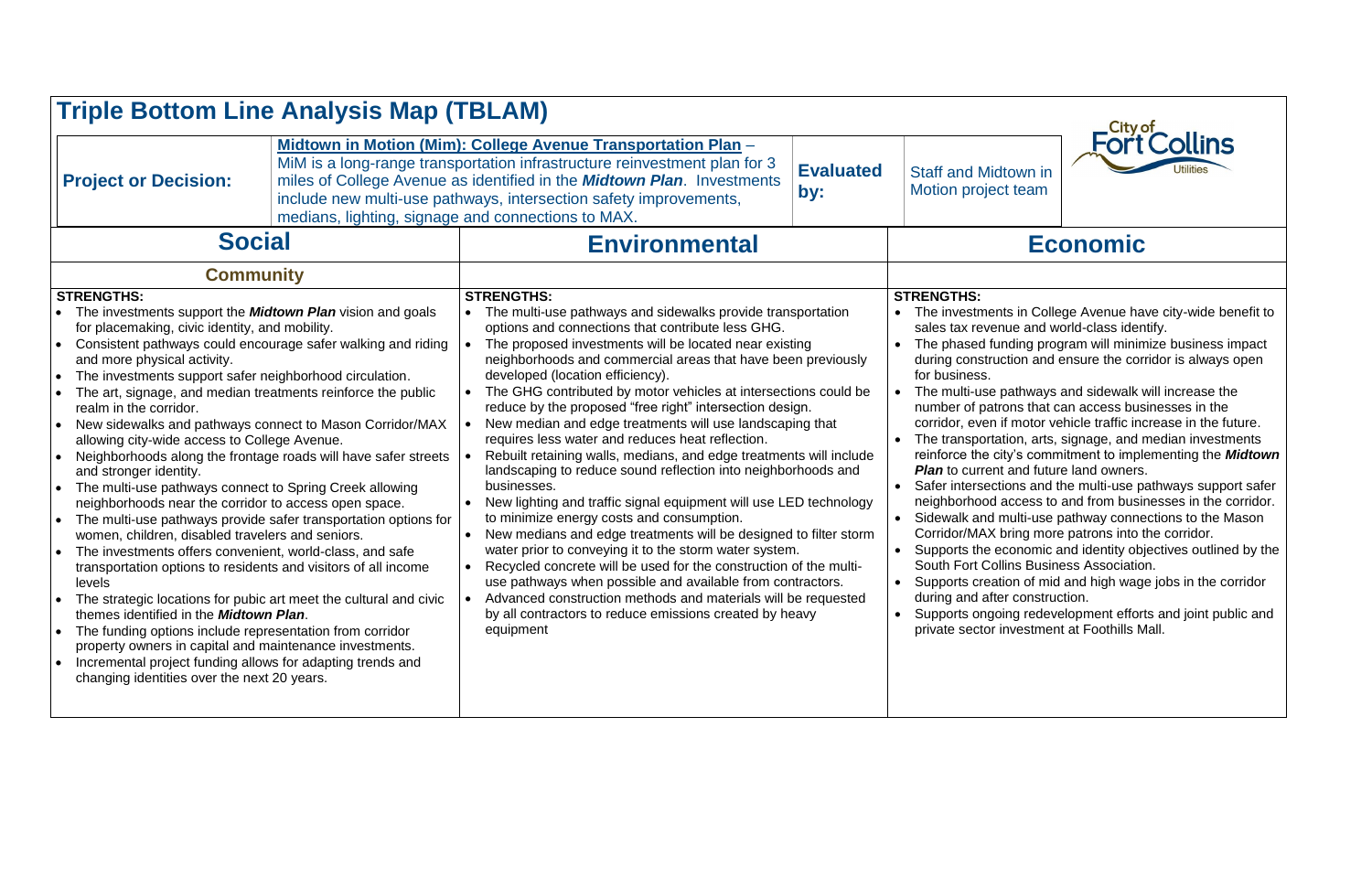| <b>Triple Bottom Line Analysis Map (TBLAM)</b>                                                                                                                                                                                                                                                                                                                                                                                                                                                                                                                                                                                                                                                                                                                                                                                                                                                                                                                                                                                                                                                                                                                                                                                                                                                                                                                                                                                                                   |                                                                                                                                                                                                                                                                                                                                                                                    |                                                                                                      |                                                                                                                                                                                                                                                                                                                                                                                                                                                                                                                                                                                                                                                                                                                                                                                                                                                                                                                                                                                                                                                                                                                                                                                                                                      |                                                 |                                                                                                                                                                                                                                                                                                                                                                                                                                                                           |
|------------------------------------------------------------------------------------------------------------------------------------------------------------------------------------------------------------------------------------------------------------------------------------------------------------------------------------------------------------------------------------------------------------------------------------------------------------------------------------------------------------------------------------------------------------------------------------------------------------------------------------------------------------------------------------------------------------------------------------------------------------------------------------------------------------------------------------------------------------------------------------------------------------------------------------------------------------------------------------------------------------------------------------------------------------------------------------------------------------------------------------------------------------------------------------------------------------------------------------------------------------------------------------------------------------------------------------------------------------------------------------------------------------------------------------------------------------------|------------------------------------------------------------------------------------------------------------------------------------------------------------------------------------------------------------------------------------------------------------------------------------------------------------------------------------------------------------------------------------|------------------------------------------------------------------------------------------------------|--------------------------------------------------------------------------------------------------------------------------------------------------------------------------------------------------------------------------------------------------------------------------------------------------------------------------------------------------------------------------------------------------------------------------------------------------------------------------------------------------------------------------------------------------------------------------------------------------------------------------------------------------------------------------------------------------------------------------------------------------------------------------------------------------------------------------------------------------------------------------------------------------------------------------------------------------------------------------------------------------------------------------------------------------------------------------------------------------------------------------------------------------------------------------------------------------------------------------------------|-------------------------------------------------|---------------------------------------------------------------------------------------------------------------------------------------------------------------------------------------------------------------------------------------------------------------------------------------------------------------------------------------------------------------------------------------------------------------------------------------------------------------------------|
| <b>Project or Decision:</b>                                                                                                                                                                                                                                                                                                                                                                                                                                                                                                                                                                                                                                                                                                                                                                                                                                                                                                                                                                                                                                                                                                                                                                                                                                                                                                                                                                                                                                      | Midtown in Motion (Mim): College Avenue Transportation Plan -<br>MiM is a long-range transportation infrastructure reinvestment plan for 3<br><b>Evaluated</b><br>miles of College Avenue as identified in the <b>Midtown Plan</b> . Investments<br>by:<br>include new multi-use pathways, intersection safety improvements,<br>medians, lighting, signage and connections to MAX. |                                                                                                      |                                                                                                                                                                                                                                                                                                                                                                                                                                                                                                                                                                                                                                                                                                                                                                                                                                                                                                                                                                                                                                                                                                                                                                                                                                      | <b>Staff and Midto</b><br><b>Motion project</b> |                                                                                                                                                                                                                                                                                                                                                                                                                                                                           |
| <b>Social</b>                                                                                                                                                                                                                                                                                                                                                                                                                                                                                                                                                                                                                                                                                                                                                                                                                                                                                                                                                                                                                                                                                                                                                                                                                                                                                                                                                                                                                                                    |                                                                                                                                                                                                                                                                                                                                                                                    | <b>Environmental</b>                                                                                 |                                                                                                                                                                                                                                                                                                                                                                                                                                                                                                                                                                                                                                                                                                                                                                                                                                                                                                                                                                                                                                                                                                                                                                                                                                      |                                                 |                                                                                                                                                                                                                                                                                                                                                                                                                                                                           |
| <b>Community</b><br><b>STRENGTHS:</b><br>The investments support the <b>Midtown Plan</b> vision and goals<br>for placemaking, civic identity, and mobility.<br>Consistent pathways could encourage safer walking and riding<br>and more physical activity.<br>The investments support safer neighborhood circulation.<br>$\bullet$<br>The art, signage, and median treatments reinforce the public<br>realm in the corridor.<br>New sidewalks and pathways connect to Mason Corridor/MAX<br>$\bullet$<br>allowing city-wide access to College Avenue.<br>Neighborhoods along the frontage roads will have safer streets<br>$\bullet$<br>and stronger identity.<br>The multi-use pathways connect to Spring Creek allowing<br>$\bullet$<br>neighborhoods near the corridor to access open space.<br>The multi-use pathways provide safer transportation options for<br>women, children, disabled travelers and seniors.<br>The investments offers convenient, world-class, and safe<br>$\bullet$<br>transportation options to residents and visitors of all income<br>levels<br>The strategic locations for pubic art meet the cultural and civic<br>themes identified in the <b>Midtown Plan</b> .<br>The funding options include representation from corridor<br>$\bullet$<br>property owners in capital and maintenance investments.<br>Incremental project funding allows for adapting trends and<br>$\bullet$<br>changing identities over the next 20 years. |                                                                                                                                                                                                                                                                                                                                                                                    | $\bullet$<br>$\bullet$<br>$\bullet$<br>$\bullet$<br>$\bullet$<br>$\bullet$<br>$\bullet$<br>$\bullet$ | <b>STRENGTHS:</b><br>The multi-use pathways and sidewalks provide transportation<br>options and connections that contribute less GHG.<br>The proposed investments will be located near existing<br>neighborhoods and commercial areas that have been previously<br>developed (location efficiency).<br>The GHG contributed by motor vehicles at intersections could be<br>reduce by the proposed "free right" intersection design.<br>New median and edge treatments will use landscaping that<br>requires less water and reduces heat reflection.<br>Rebuilt retaining walls, medians, and edge treatments will include<br>landscaping to reduce sound reflection into neighborhoods and<br>businesses.<br>New lighting and traffic signal equipment will use LED technology<br>to minimize energy costs and consumption.<br>New medians and edge treatments will be designed to filter storm<br>water prior to conveying it to the storm water system.<br>Recycled concrete will be used for the construction of the multi-<br>use pathways when possible and available from contractors.<br>Advanced construction methods and materials will be requested<br>by all contractors to reduce emissions created by heavy<br>equipment |                                                 | <b>STRENGTHS:</b><br>The investments<br>sales tax revenu<br>The phased fund<br>during construct<br>for business.<br>The multi-use pa<br>number of patron<br>corridor, even if<br>The transportation<br>reinforce the city<br><b>Plan</b> to current a<br>Safer intersectio<br>neighborhood ad<br>Sidewalk and mi<br>$\bullet$<br>Corridor/MAX br<br>Supports the eco<br>South Fort Collir<br>Supports creatio<br>during and after<br>Supports ongoin<br>private sector in |
|                                                                                                                                                                                                                                                                                                                                                                                                                                                                                                                                                                                                                                                                                                                                                                                                                                                                                                                                                                                                                                                                                                                                                                                                                                                                                                                                                                                                                                                                  |                                                                                                                                                                                                                                                                                                                                                                                    |                                                                                                      |                                                                                                                                                                                                                                                                                                                                                                                                                                                                                                                                                                                                                                                                                                                                                                                                                                                                                                                                                                                                                                                                                                                                                                                                                                      |                                                 |                                                                                                                                                                                                                                                                                                                                                                                                                                                                           |



own in team

# **Economic**

- in College Avenue have city-wide benefit to ue and world-class identify.
- ding program will minimize business impact tion and ensure the corridor is always open
- athways and sidewalk will increase the ns that can access businesses in the motor vehicle traffic increase in the future.
- ion, arts, signage, and median investments  $y$ 's commitment to implementing the **Midtown** and future land owners.
- Safer intersections and the multi-use pathways support safer neighborhood access to and from businesses in the corridor. iulti-use pathway connections to the Mason ring more patrons into the corridor.
	- conomic and identity objectives outlined by the ns Business Association.
	- on of mid and high wage jobs in the corridor construction.
	- ng redevelopment efforts and joint public and vestment at Foothills Mall.